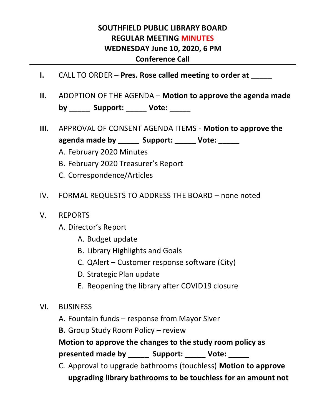## **SOUTHFIELD PUBLIC LIBRARY BOARD REGULAR MEETING MINUTES WEDNESDAY June 10, 2020, 6 PM Conference Call**

- **I.** CALL TO ORDER **Pres. Rose called meeting to order at \_\_\_\_\_**
- **II.** ADOPTION OF THE AGENDA **Motion to approve the agenda made by** Support: Vote:
- **III.** APPROVAL OF CONSENT AGENDA ITEMS **Motion to approve the agenda made by \_\_\_\_\_ Support: \_\_\_\_\_ Vote: \_\_\_\_\_**
	- A. February 2020 Minutes
	- B. February 2020 Treasurer's Report
	- C. Correspondence/Articles
- IV. FORMAL REQUESTS TO ADDRESS THE BOARD none noted
- V. REPORTS
	- A. Director's Report
		- A. Budget update
		- B. Library Highlights and Goals
		- C. QAlert Customer response software (City)
		- D. Strategic Plan update
		- E. Reopening the library after COVID19 closure
- VI. BUSINESS
	- A. Fountain funds response from Mayor Siver
	- **B.** Group Study Room Policy review

**Motion to approve the changes to the study room policy as presented made by \_\_\_\_\_ Support: \_\_\_\_\_ Vote: \_\_\_\_\_**

C. Approval to upgrade bathrooms (touchless) **Motion to approve upgrading library bathrooms to be touchless for an amount not**